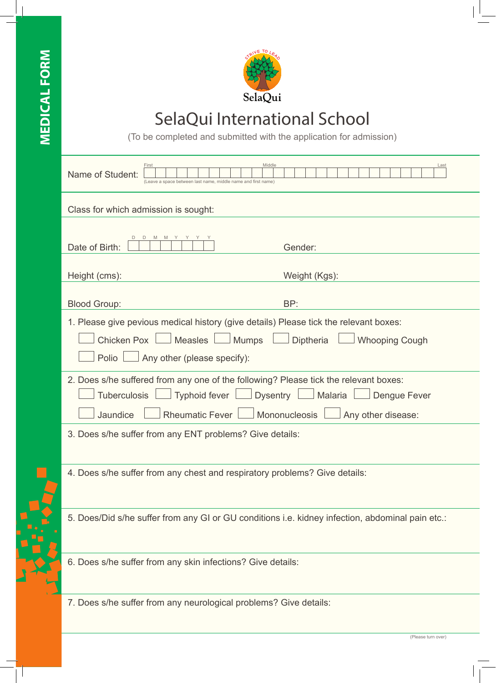

## SelaQui International School

(To be completed and submitted with the application for admission)

| Middle<br>First<br>Name of Student:<br>(Leave a space between last name, middle name and first name)                                                                           | Last                                                                    |
|--------------------------------------------------------------------------------------------------------------------------------------------------------------------------------|-------------------------------------------------------------------------|
| Class for which admission is sought:                                                                                                                                           |                                                                         |
| Date of Birth:                                                                                                                                                                 | Gender:                                                                 |
| Height (cms):                                                                                                                                                                  | Weight (Kgs):                                                           |
| <b>Blood Group:</b>                                                                                                                                                            | BP:                                                                     |
| 1. Please give pevious medical history (give details) Please tick the relevant boxes:<br>Chicken Pox   Measles   Mumps   Diptheria<br>Polio $\Box$ Any other (please specify): | Whooping Cough                                                          |
| 2. Does s/he suffered from any one of the following? Please tick the relevant boxes:<br>Tuberculosis<br>Jaundice<br>Rheumatic Fever   Mononucleosis                            | Typhoid fever   Dysentry   Malaria   Dengue Fever<br>Any other disease: |
| 3. Does s/he suffer from any ENT problems? Give details:                                                                                                                       |                                                                         |
| 4. Does s/he suffer from any chest and respiratory problems? Give details:                                                                                                     |                                                                         |
| 5. Does/Did s/he suffer from any GI or GU conditions i.e. kidney infection, abdominal pain etc.:                                                                               |                                                                         |
| 6. Does s/he suffer from any skin infections? Give details:                                                                                                                    |                                                                         |
| 7. Does s/he suffer from any neurological problems? Give details:                                                                                                              |                                                                         |